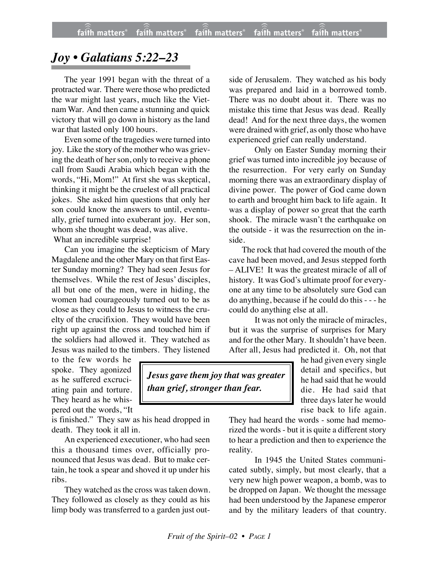## *Joy • Galatians 5:22–23*

The year 1991 began with the threat of a protracted war. There were those who predicted the war might last years, much like the Vietnam War. And then came a stunning and quick victory that will go down in history as the land war that lasted only 100 hours.

Even some of the tragedies were turned into joy. Like the story of the mother who was grieving the death of her son, only to receive a phone call from Saudi Arabia which began with the words, "Hi, Mom!" At first she was skeptical, thinking it might be the cruelest of all practical jokes. She asked him questions that only her son could know the answers to until, eventually, grief turned into exuberant joy. Her son, whom she thought was dead, was alive.

What an incredible surprise!

Can you imagine the skepticism of Mary Magdalene and the other Mary on that first Easter Sunday morning? They had seen Jesus for themselves. While the rest of Jesus' disciples, all but one of the men, were in hiding, the women had courageously turned out to be as close as they could to Jesus to witness the cruelty of the crucifixion. They would have been right up against the cross and touched him if the soldiers had allowed it. They watched as Jesus was nailed to the timbers. They listened

to the few words he spoke. They agonized as he suffered excruciating pain and torture. They heard as he whispered out the words, "It

is finished." They saw as his head dropped in death. They took it all in.

An experienced executioner, who had seen this a thousand times over, officially pronounced that Jesus was dead. But to make certain, he took a spear and shoved it up under his ribs.

They watched as the cross was taken down. They followed as closely as they could as his limp body was transferred to a garden just out-

side of Jerusalem. They watched as his body was prepared and laid in a borrowed tomb. There was no doubt about it. There was no mistake this time that Jesus was dead. Really dead! And for the next three days, the women were drained with grief, as only those who have experienced grief can really understand.

Only on Easter Sunday morning their grief was turned into incredible joy because of the resurrection. For very early on Sunday morning there was an extraordinary display of divine power. The power of God came down to earth and brought him back to life again. It was a display of power so great that the earth shook. The miracle wasn't the earthquake on the outside - it was the resurrection on the inside.

The rock that had covered the mouth of the cave had been moved, and Jesus stepped forth – ALIVE! It was the greatest miracle of all of history. It was God's ultimate proof for everyone at any time to be absolutely sure God can do anything, because if he could do this - - - he could do anything else at all.

It was not only the miracle of miracles, but it was the surprise of surprises for Mary and for the other Mary. It shouldn't have been. After all, Jesus had predicted it. Oh, not that

> he had given every single detail and specifics, but he had said that he would die. He had said that three days later he would rise back to life again.

They had heard the words - some had memorized the words - but it is quite a different story to hear a prediction and then to experience the reality.

In 1945 the United States communicated subtly, simply, but most clearly, that a very new high power weapon, a bomb, was to be dropped on Japan. We thought the message had been understood by the Japanese emperor and by the military leaders of that country.

*Jesus gave them joy that was greater than grief, stronger than fear.*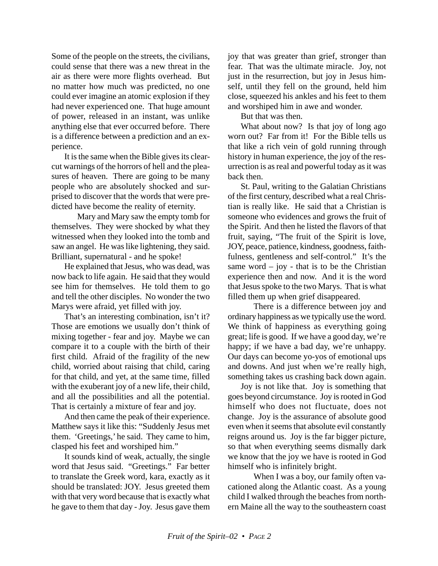Some of the people on the streets, the civilians, could sense that there was a new threat in the air as there were more flights overhead. But no matter how much was predicted, no one could ever imagine an atomic explosion if they had never experienced one. That huge amount of power, released in an instant, was unlike anything else that ever occurred before. There is a difference between a prediction and an experience.

It is the same when the Bible gives its clearcut warnings of the horrors of hell and the pleasures of heaven. There are going to be many people who are absolutely shocked and surprised to discover that the words that were predicted have become the reality of eternity.

Mary and Mary saw the empty tomb for themselves. They were shocked by what they witnessed when they looked into the tomb and saw an angel. He was like lightening, they said. Brilliant, supernatural - and he spoke!

He explained that Jesus, who was dead, was now back to life again. He said that they would see him for themselves. He told them to go and tell the other disciples. No wonder the two Marys were afraid, yet filled with joy.

That's an interesting combination, isn't it? Those are emotions we usually don't think of mixing together - fear and joy. Maybe we can compare it to a couple with the birth of their first child. Afraid of the fragility of the new child, worried about raising that child, caring for that child, and yet, at the same time, filled with the exuberant joy of a new life, their child, and all the possibilities and all the potential. That is certainly a mixture of fear and joy.

And then came the peak of their experience. Matthew says it like this: "Suddenly Jesus met them. 'Greetings,' he said. They came to him, clasped his feet and worshiped him."

It sounds kind of weak, actually, the single word that Jesus said. "Greetings." Far better to translate the Greek word, kara, exactly as it should be translated: JOY. Jesus greeted them with that very word because that is exactly what he gave to them that day - Joy. Jesus gave them

joy that was greater than grief, stronger than fear. That was the ultimate miracle. Joy, not just in the resurrection, but joy in Jesus himself, until they fell on the ground, held him close, squeezed his ankles and his feet to them and worshiped him in awe and wonder.

But that was then.

What about now? Is that joy of long ago worn out? Far from it! For the Bible tells us that like a rich vein of gold running through history in human experience, the joy of the resurrection is as real and powerful today as it was back then.

St. Paul, writing to the Galatian Christians of the first century, described what a real Christian is really like. He said that a Christian is someone who evidences and grows the fruit of the Spirit. And then he listed the flavors of that fruit, saying, "The fruit of the Spirit is love, JOY, peace, patience, kindness, goodness, faithfulness, gentleness and self-control." It's the same word  $-$  joy - that is to be the Christian experience then and now. And it is the word that Jesus spoke to the two Marys. That is what filled them up when grief disappeared.

There is a difference between joy and ordinary happiness as we typically use the word. We think of happiness as everything going great; life is good. If we have a good day, we're happy; if we have a bad day, we're unhappy. Our days can become yo-yos of emotional ups and downs. And just when we're really high, something takes us crashing back down again.

Joy is not like that. Joy is something that goes beyond circumstance. Joy is rooted in God himself who does not fluctuate, does not change. Joy is the assurance of absolute good even when it seems that absolute evil constantly reigns around us. Joy is the far bigger picture, so that when everything seems dismally dark we know that the joy we have is rooted in God himself who is infinitely bright.

When I was a boy, our family often vacationed along the Atlantic coast. As a young child I walked through the beaches from northern Maine all the way to the southeastern coast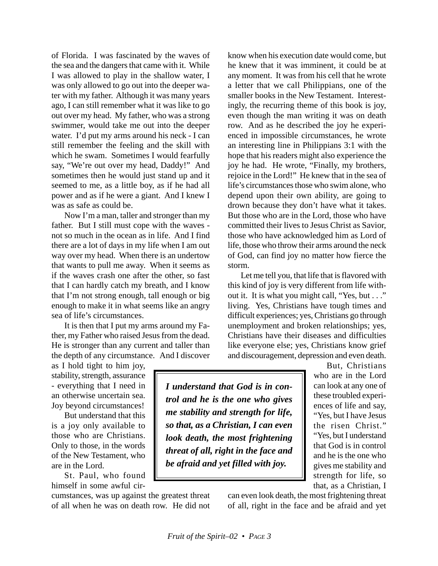of Florida. I was fascinated by the waves of the sea and the dangers that came with it. While I was allowed to play in the shallow water, I was only allowed to go out into the deeper water with my father. Although it was many years ago, I can still remember what it was like to go out over my head. My father, who was a strong swimmer, would take me out into the deeper water. I'd put my arms around his neck - I can still remember the feeling and the skill with which he swam. Sometimes I would fearfully say, "We're out over my head, Daddy!" And sometimes then he would just stand up and it seemed to me, as a little boy, as if he had all power and as if he were a giant. And I knew I was as safe as could be.

Now I'm a man, taller and stronger than my father. But I still must cope with the waves not so much in the ocean as in life. And I find there are a lot of days in my life when I am out way over my head. When there is an undertow that wants to pull me away. When it seems as if the waves crash one after the other, so fast that I can hardly catch my breath, and I know that I'm not strong enough, tall enough or big enough to make it in what seems like an angry sea of life's circumstances.

It is then that I put my arms around my Father, my Father who raised Jesus from the dead. He is stronger than any current and taller than the depth of any circumstance. And I discover

as I hold tight to him joy, stability, strength, assurance - everything that I need in an otherwise uncertain sea. Joy beyond circumstances!

But understand that this is a joy only available to those who are Christians. Only to those, in the words of the New Testament, who are in the Lord.

St. Paul, who found himself in some awful cir-

cumstances, was up against the greatest threat of all when he was on death row. He did not

know when his execution date would come, but he knew that it was imminent, it could be at any moment. It was from his cell that he wrote a letter that we call Philippians, one of the smaller books in the New Testament. Interestingly, the recurring theme of this book is joy, even though the man writing it was on death row. And as he described the joy he experienced in impossible circumstances, he wrote an interesting line in Philippians 3:1 with the hope that his readers might also experience the joy he had. He wrote, "Finally, my brothers, rejoice in the Lord!" He knew that in the sea of life's circumstances those who swim alone, who depend upon their own ability, are going to drown because they don't have what it takes. But those who are in the Lord, those who have committed their lives to Jesus Christ as Savior, those who have acknowledged him as Lord of life, those who throw their arms around the neck of God, can find joy no matter how fierce the storm.

Let me tell you, that life that is flavored with this kind of joy is very different from life without it. It is what you might call, "Yes, but . . ." living. Yes, Christians have tough times and difficult experiences; yes, Christians go through unemployment and broken relationships; yes, Christians have their diseases and difficulties like everyone else; yes, Christians know grief and discouragement, depression and even death.

*I understand that God is in control and he is the one who gives me stability and strength for life, so that, as a Christian, I can even look death, the most frightening threat of all, right in the face and be afraid and yet filled with joy.*

But, Christians who are in the Lord can look at any one of these troubled experiences of life and say, "Yes, but I have Jesus the risen Christ." "Yes, but I understand that God is in control and he is the one who gives me stability and strength for life, so that, as a Christian, I

can even look death, the most frightening threat of all, right in the face and be afraid and yet